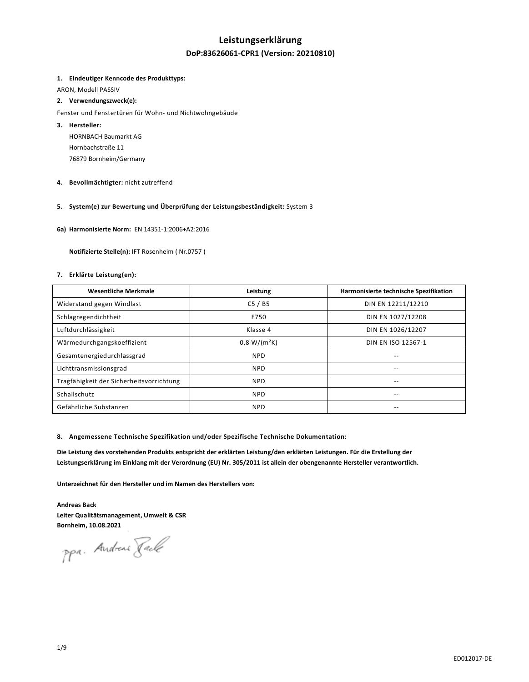## **Leistungserklärung**

## **DoP:83626061-CPR1 (Version: 20210810)**

#### **1. Eindeutiger Kenncode des Produkttyps:**

ARON, Modell PASSIV

### **2. Verwendungszweck(e):**

Fenster und Fenstertüren für Wohn- und Nichtwohngebäude

- **3. Hersteller:**  HORNBACH Baumarkt AG Hornbachstraße 11 76879 Bornheim/Germany
- **4. Bevollmächtigter:** nicht zutreffend

### **5. System(e) zur Bewertung und Überprüfung der Leistungsbeständigkeit:** System 3

**6a) Harmonisierte Norm:** EN 14351-1:2006+A2:2016

 **Notifizierte Stelle(n):** IFT Rosenheim ( Nr.0757 )

### **7. Erklärte Leistung(en):**

| <b>Wesentliche Merkmale</b>              | Leistung       | Harmonisierte technische Spezifikation |
|------------------------------------------|----------------|----------------------------------------|
| Widerstand gegen Windlast                | C5/BS          | DIN EN 12211/12210                     |
| Schlagregendichtheit                     | E750           | DIN EN 1027/12208                      |
| Luftdurchlässigkeit                      | Klasse 4       | DIN EN 1026/12207                      |
| Wärmedurchgangskoeffizient               | $0.8 W/(m^2K)$ | DIN EN ISO 12567-1                     |
| Gesamtenergiedurchlassgrad               | <b>NPD</b>     | --                                     |
| Lichttransmissionsgrad                   | <b>NPD</b>     | --                                     |
| Tragfähigkeit der Sicherheitsvorrichtung | <b>NPD</b>     | --                                     |
| Schallschutz                             | <b>NPD</b>     | --                                     |
| Gefährliche Substanzen                   | <b>NPD</b>     | --                                     |

#### **8. Angemessene Technische Spezifikation und/oder Spezifische Technische Dokumentation:**

**Die Leistung des vorstehenden Produkts entspricht der erklärten Leistung/den erklärten Leistungen. Für die Erstellung der Leistungserklärung im Einklang mit der Verordnung (EU) Nr. 305/2011 ist allein der obengenannte Hersteller verantwortlich.** 

**Unterzeichnet für den Hersteller und im Namen des Herstellers von:** 

**Andreas Back Leiter Qualitätsmanagement, Umwelt & CSR Bornheim, 10.08.2021** 

ppa. Andreas Jack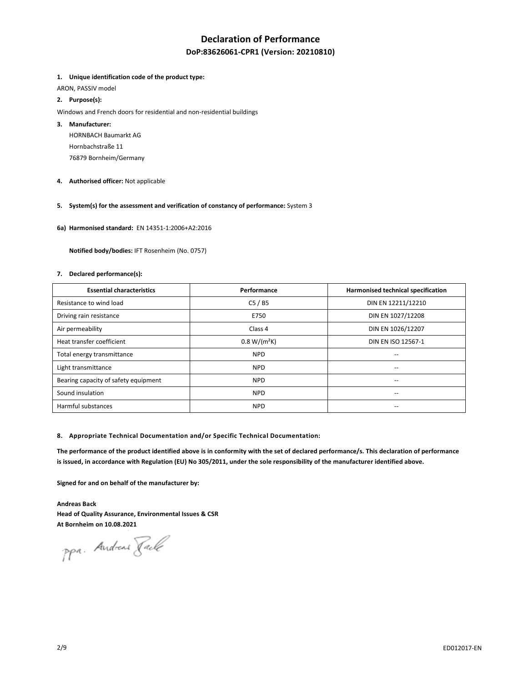## **Declaration of Performance**

## **DoP:83626061-CPR1 (Version: 20210810)**

#### **1. Unique identification code of the product type:**

ARON, PASSIV model

## **2. Purpose(s):**

Windows and French doors for residential and non-residential buildings

## **3. Manufacturer:**

HORNBACH Baumarkt AG Hornbachstraße 11 76879 Bornheim/Germany

**4. Authorised officer:** Not applicable

## **5. System(s) for the assessment and verification of constancy of performance:** System 3

**6a) Harmonised standard:** EN 14351-1:2006+A2:2016

 **Notified body/bodies:** IFT Rosenheim (No. 0757)

#### **7. Declared performance(s):**

| <b>Essential characteristics</b>     | Performance    | Harmonised technical specification    |
|--------------------------------------|----------------|---------------------------------------|
| Resistance to wind load              | C5/BS          | DIN EN 12211/12210                    |
| Driving rain resistance              | E750           | DIN EN 1027/12208                     |
| Air permeability                     | Class 4        | DIN EN 1026/12207                     |
| Heat transfer coefficient            | $0.8 W/(m^2K)$ | DIN EN ISO 12567-1                    |
| Total energy transmittance           | <b>NPD</b>     | $-$                                   |
| Light transmittance                  | <b>NPD</b>     |                                       |
| Bearing capacity of safety equipment | <b>NPD</b>     | $\hspace{0.05cm}$ – $\hspace{0.05cm}$ |
| Sound insulation                     | <b>NPD</b>     | $\overline{\phantom{a}}$              |
| Harmful substances                   | <b>NPD</b>     | $\overline{\phantom{a}}$              |

#### **8. Appropriate Technical Documentation and/or Specific Technical Documentation:**

**The performance of the product identified above is in conformity with the set of declared performance/s. This declaration of performance is issued, in accordance with Regulation (EU) No 305/2011, under the sole responsibility of the manufacturer identified above.** 

**Signed for and on behalf of the manufacturer by:** 

**Andreas Back Head of Quality Assurance, Environmental Issues & CSR At Bornheim on 10.08.2021** 

ppa. Andreas Fack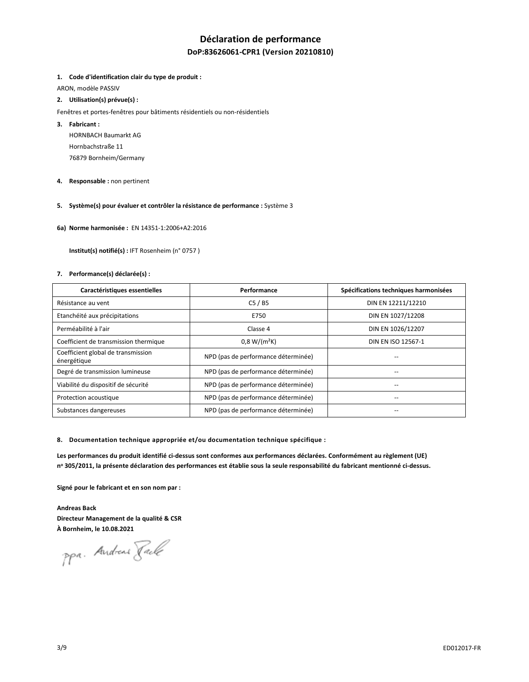## **Déclaration de performance**

## **DoP:83626061-CPR1 (Version 20210810)**

#### **1. Code d'identification clair du type de produit :**

ARON, modèle PASSIV

## **2. Utilisation(s) prévue(s) :**

- Fenêtres et portes-fenêtres pour bâtiments résidentiels ou non-résidentiels
- **3. Fabricant :**

HORNBACH Baumarkt AG Hornbachstraße 11 76879 Bornheim/Germany

- **4. Responsable :** non pertinent
- **5. Système(s) pour évaluer et contrôler la résistance de performance :** Système 3
- **6a) Norme harmonisée :** EN 14351-1:2006+A2:2016

 **Institut(s) notifié(s) :** IFT Rosenheim (n° 0757 )

#### **7. Performance(s) déclarée(s) :**

| Caractéristiques essentielles                     | Performance                         | Spécifications techniques harmonisées |
|---------------------------------------------------|-------------------------------------|---------------------------------------|
| Résistance au vent                                | C5/BS                               | DIN EN 12211/12210                    |
| Etanchéité aux précipitations                     | E750                                | DIN EN 1027/12208                     |
| Perméabilité à l'air                              | Classe 4                            | DIN EN 1026/12207                     |
| Coefficient de transmission thermique             | $0.8 W/(m^2K)$                      | DIN EN ISO 12567-1                    |
| Coefficient global de transmission<br>énergétique | NPD (pas de performance déterminée) |                                       |
| Degré de transmission lumineuse                   | NPD (pas de performance déterminée) |                                       |
| Viabilité du dispositif de sécurité               | NPD (pas de performance déterminée) | --                                    |
| Protection acoustique                             | NPD (pas de performance déterminée) | --                                    |
| Substances dangereuses                            | NPD (pas de performance déterminée) |                                       |

**8. Documentation technique appropriée et/ou documentation technique spécifique :** 

**Les performances du produit identifié ci-dessus sont conformes aux performances déclarées. Conformément au règlement (UE) n o 305/2011, la présente déclaration des performances est établie sous la seule responsabilité du fabricant mentionné ci-dessus.** 

**Signé pour le fabricant et en son nom par :** 

**Andreas Back Directeur Management de la qualité & CSR À Bornheim, le 10.08.2021** 

ppa. Andreas Pack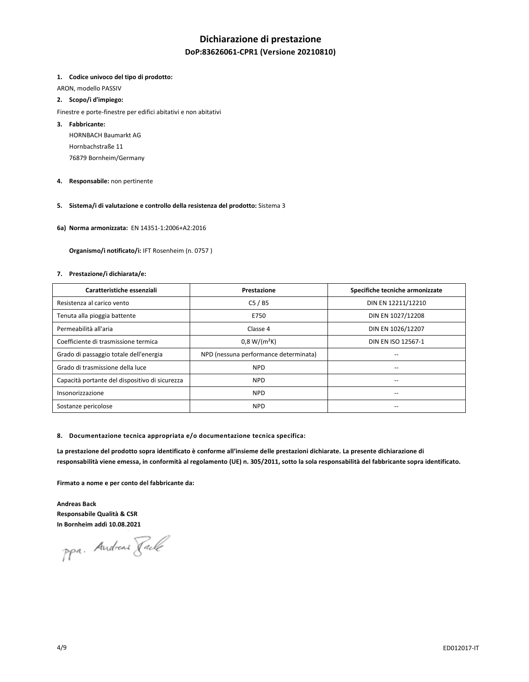## **Dichiarazione di prestazione**

## **DoP:83626061-CPR1 (Versione 20210810)**

#### **1. Codice univoco del tipo di prodotto:**

ARON, modello PASSIV

### **2. Scopo/i d'impiego:**

Finestre e porte-finestre per edifici abitativi e non abitativi

#### **3. Fabbricante:**

HORNBACH Baumarkt AG Hornbachstraße 11 76879 Bornheim/Germany

**4. Responsabile:** non pertinente

## **5. Sistema/i di valutazione e controllo della resistenza del prodotto:** Sistema 3

**6a) Norma armonizzata:** EN 14351-1:2006+A2:2016

 **Organismo/i notificato/i:** IFT Rosenheim (n. 0757 )

#### **7. Prestazione/i dichiarata/e:**

| Caratteristiche essenziali                     | Prestazione                           | Specifiche tecniche armonizzate |
|------------------------------------------------|---------------------------------------|---------------------------------|
| Resistenza al carico vento                     | C5/BS                                 | DIN EN 12211/12210              |
| Tenuta alla pioggia battente                   | E750                                  | DIN EN 1027/12208               |
| Permeabilità all'aria                          | Classe 4                              | DIN EN 1026/12207               |
| Coefficiente di trasmissione termica           | $0,8 W/(m^2K)$                        | DIN EN ISO 12567-1              |
| Grado di passaggio totale dell'energia         | NPD (nessuna performance determinata) |                                 |
| Grado di trasmissione della luce               | <b>NPD</b>                            | --                              |
| Capacità portante del dispositivo di sicurezza | <b>NPD</b>                            | --                              |
| Insonorizzazione                               | <b>NPD</b>                            | --                              |
| Sostanze pericolose                            | <b>NPD</b>                            |                                 |

#### **8. Documentazione tecnica appropriata e/o documentazione tecnica specifica:**

**La prestazione del prodotto sopra identificato è conforme all'insieme delle prestazioni dichiarate. La presente dichiarazione di responsabilità viene emessa, in conformità al regolamento (UE) n. 305/2011, sotto la sola responsabilità del fabbricante sopra identificato.** 

**Firmato a nome e per conto del fabbricante da:** 

**Andreas Back Responsabile Qualità & CSR In Bornheim addì 10.08.2021** 

ppa. Andreas Fack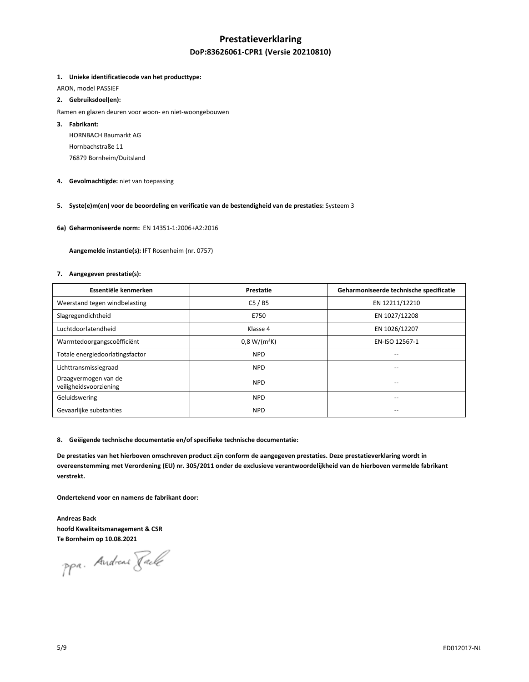## **Prestatieverklaring DoP:83626061-CPR1 (Versie 20210810)**

#### **1. Unieke identificatiecode van het producttype:**

ARON, model PASSIEF

## **2. Gebruiksdoel(en):**

- Ramen en glazen deuren voor woon- en niet-woongebouwen
- **3. Fabrikant:**

HORNBACH Baumarkt AG Hornbachstraße 11 76879 Bornheim/Duitsland

**4. Gevolmachtigde:** niet van toepassing

## **5. Syste(e)m(en) voor de beoordeling en verificatie van de bestendigheid van de prestaties:** Systeem 3

**6a) Geharmoniseerde norm:** EN 14351-1:2006+A2:2016

 **Aangemelde instantie(s):** IFT Rosenheim (nr. 0757)

#### **7. Aangegeven prestatie(s):**

| Essentiële kenmerken                           | Prestatie      | Geharmoniseerde technische specificatie |
|------------------------------------------------|----------------|-----------------------------------------|
| Weerstand tegen windbelasting                  | C5/BS          | EN 12211/12210                          |
| Slagregendichtheid                             | E750           | EN 1027/12208                           |
| Luchtdoorlatendheid                            | Klasse 4       | EN 1026/12207                           |
| Warmtedoorgangscoëfficiënt                     | $0,8 W/(m^2K)$ | EN-ISO 12567-1                          |
| Totale energiedoorlatingsfactor                | <b>NPD</b>     | --                                      |
| Lichttransmissiegraad                          | <b>NPD</b>     | --                                      |
| Draagvermogen van de<br>veiligheidsvoorziening | <b>NPD</b>     |                                         |
| Geluidswering                                  | <b>NPD</b>     | --                                      |
| Gevaarlijke substanties                        | <b>NPD</b>     | --                                      |

#### **8. Geëigende technische documentatie en/of specifieke technische documentatie:**

**De prestaties van het hierboven omschreven product zijn conform de aangegeven prestaties. Deze prestatieverklaring wordt in overeenstemming met Verordening (EU) nr. 305/2011 onder de exclusieve verantwoordelijkheid van de hierboven vermelde fabrikant verstrekt.** 

**Ondertekend voor en namens de fabrikant door:** 

**Andreas Back hoofd Kwaliteitsmanagement & CSR Te Bornheim op 10.08.2021** 

ppa. Andreas Fack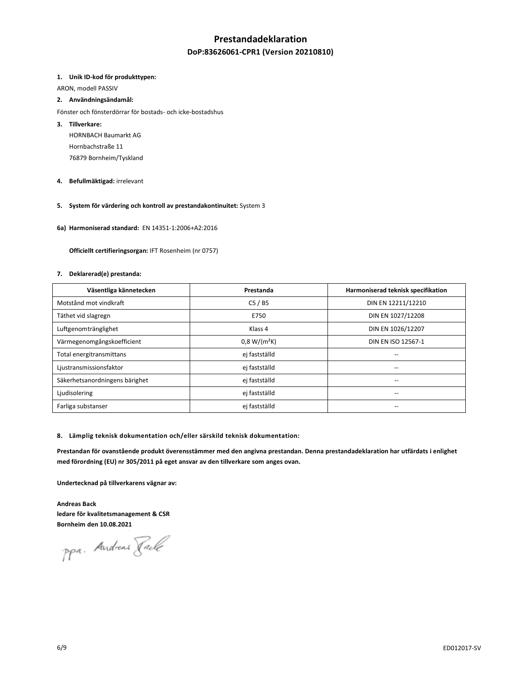## **Prestandadeklaration**

## **DoP:83626061-CPR1 (Version 20210810)**

#### **1. Unik ID-kod för produkttypen:**

ARON, modell PASSIV

#### **2. Användningsändamål:**

Fönster och fönsterdörrar för bostads- och icke-bostadshus

### **3. Tillverkare:**

HORNBACH Baumarkt AG Hornbachstraße 11 76879 Bornheim/Tyskland

### **4. Befullmäktigad:** irrelevant

## **5. System för värdering och kontroll av prestandakontinuitet:** System 3

**6a) Harmoniserad standard:** EN 14351-1:2006+A2:2016

 **Officiellt certifieringsorgan:** IFT Rosenheim (nr 0757)

#### **7. Deklarerad(e) prestanda:**

| Väsentliga kännetecken         | Prestanda      | Harmoniserad teknisk specifikation |
|--------------------------------|----------------|------------------------------------|
| Motstånd mot vindkraft         | C5/BS          | DIN EN 12211/12210                 |
| Täthet vid slagregn            | E750           | DIN EN 1027/12208                  |
| Luftgenomtränglighet           | Klass 4        | DIN EN 1026/12207                  |
| Värmegenomgångskoefficient     | $0,8 W/(m^2K)$ | DIN EN ISO 12567-1                 |
| Total energitransmittans       | ej fastställd  | --                                 |
| Ljustransmissionsfaktor        | ej fastställd  |                                    |
| Säkerhetsanordningens bärighet | ej fastställd  | --                                 |
| Ljudisolering                  | ej fastställd  | --                                 |
| Farliga substanser             | ej fastställd  | --                                 |

#### **8. Lämplig teknisk dokumentation och/eller särskild teknisk dokumentation:**

**Prestandan för ovanstående produkt överensstämmer med den angivna prestandan. Denna prestandadeklaration har utfärdats i enlighet med förordning (EU) nr 305/2011 på eget ansvar av den tillverkare som anges ovan.** 

**Undertecknad på tillverkarens vägnar av:** 

**Andreas Back ledare för kvalitetsmanagement & CSR Bornheim den 10.08.2021** 

ppa. Andreas Fack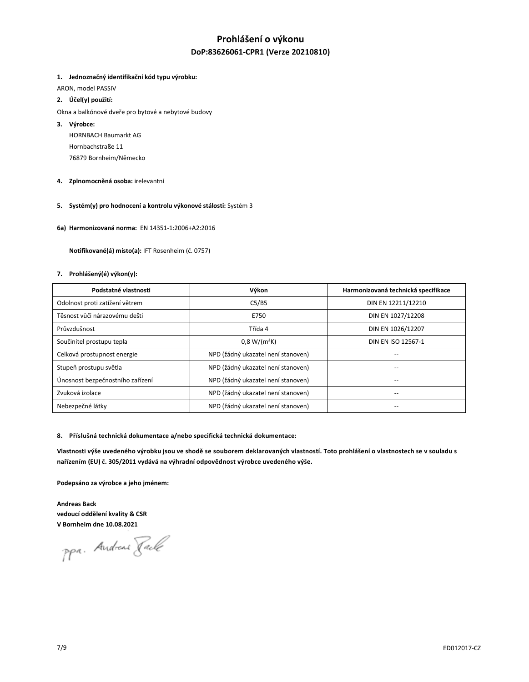## **Prohlášení o výkonu DoP:83626061-CPR1 (Verze 20210810)**

### **1. Jednoznačný identifikační kód typu výrobku:**

ARON, model PASSIV

- **2. Účel(y) použití:**
- Okna a balkónové dveře pro bytové a nebytové budovy
- **3. Výrobce:**

HORNBACH Baumarkt AG Hornbachstraße 11 76879 Bornheim/Německo

- **4. Zplnomocněná osoba:** irelevantní
- **5. Systém(y) pro hodnocení a kontrolu výkonové stálosti:** Systém 3
- **6a) Harmonizovaná norma:** EN 14351-1:2006+A2:2016

 **Notifikované(á) místo(a):** IFT Rosenheim (č. 0757)

#### **7. Prohlášený(é) výkon(y):**

| Podstatné vlastnosti             | Výkon                              | Harmonizovaná technická specifikace |
|----------------------------------|------------------------------------|-------------------------------------|
| Odolnost proti zatížení větrem   | C5/B5                              | DIN EN 12211/12210                  |
| Těsnost vůči nárazovému dešti    | E750                               | DIN EN 1027/12208                   |
| Průvzdušnost                     | Třída 4                            | DIN EN 1026/12207                   |
| Součinitel prostupu tepla        | $0.8 W/(m^2K)$                     | DIN EN ISO 12567-1                  |
| Celková prostupnost energie      | NPD (žádný ukazatel není stanoven) |                                     |
| Stupeň prostupu světla           | NPD (žádný ukazatel není stanoven) |                                     |
| Únosnost bezpečnostního zařízení | NPD (žádný ukazatel není stanoven) | --                                  |
| Zvuková izolace                  | NPD (žádný ukazatel není stanoven) | --                                  |
| Nebezpečné látky                 | NPD (žádný ukazatel není stanoven) |                                     |

#### **8. Příslušná technická dokumentace a/nebo specifická technická dokumentace:**

Vlastnosti výše uvedeného výrobku jsou ve shodě se souborem deklarovaných vlastností. Toto prohlášení o vlastnostech se v souladu s **nařízením (EU) č. 305/2011 vydává na výhradní odpovědnost výrobce uvedeného výše.**

**Podepsáno za výrobce a jeho jménem:** 

**Andreas Back vedoucí oddělení kvality & CSR V Bornheim dne 10.08.2021** 

ppa. Andreas Faile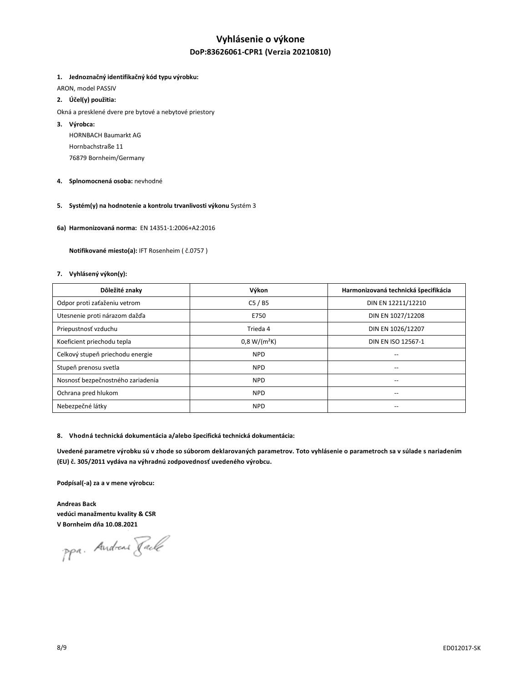# **Vyhlásenie o výkone**

## **DoP:83626061-CPR1 (Verzia 20210810)**

#### **1. Jednoznačný identifikačný kód typu výrobku:**

ARON, model PASSIV

## **2. Účel(y) použitia:**

- Okná a presklené dvere pre bytové a nebytové priestory
- **3. Výrobca:**

HORNBACH Baumarkt AG Hornbachstraße 11 76879 Bornheim/Germany

- **4. Splnomocnená osoba:** nevhodné
- **5. Systém(y) na hodnotenie a kontrolu trvanlivosti výkonu** Systém 3
- **6a) Harmonizovaná norma:** EN 14351-1:2006+A2:2016

 **Notifikované miesto(a):** IFT Rosenheim ( č.0757 )

#### **7. Vyhlásený výkon(y):**

| Dôležité znaky                    | Výkon          | Harmonizovaná technická špecifikácia  |
|-----------------------------------|----------------|---------------------------------------|
| Odpor proti zaťaženiu vetrom      | C5/BS          | DIN EN 12211/12210                    |
| Utesnenie proti nárazom dažďa     | E750           | DIN EN 1027/12208                     |
| Priepustnosť vzduchu              | Trieda 4       | DIN EN 1026/12207                     |
| Koeficient priechodu tepla        | $0.8 W/(m^2K)$ | DIN EN ISO 12567-1                    |
| Celkový stupeň priechodu energie  | <b>NPD</b>     | --                                    |
| Stupeň prenosu svetla             | <b>NPD</b>     |                                       |
| Nosnosť bezpečnostného zariadenia | <b>NPD</b>     | $\hspace{0.05cm}$ – $\hspace{0.05cm}$ |
| Ochrana pred hlukom               | <b>NPD</b>     | --                                    |
| Nebezpečné látky                  | <b>NPD</b>     |                                       |

#### **8. Vhodná technická dokumentácia a/alebo špecifická technická dokumentácia:**

**Uvedené parametre výrobku sú v zhode so súborom deklarovaných parametrov. Toto vyhlásenie o parametroch sa v súlade s nariadením (EU) č. 305/2011 vydáva na výhradnú zodpovednosť uvedeného výrobcu.**

**Podpísal(-a) za a v mene výrobcu:** 

**Andreas Back vedúci manažmentu kvality & CSR V Bornheim dňa 10.08.2021**

ppa. Andreas Fack